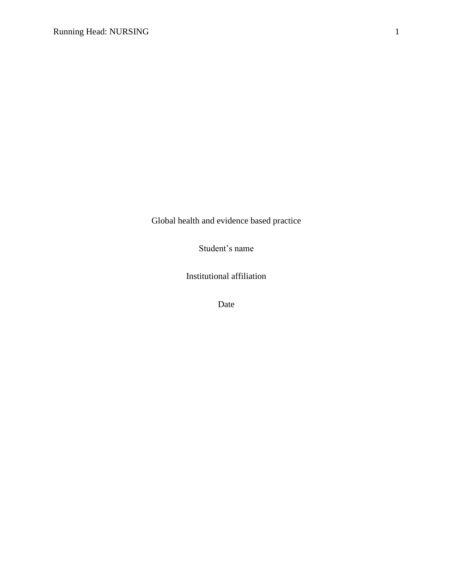Global health and evidence based practice

Student's name

Institutional affiliation

Date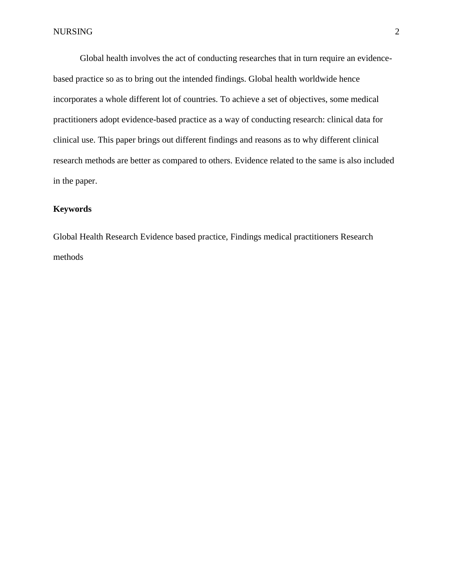Global health involves the act of conducting researches that in turn require an evidencebased practice so as to bring out the intended findings. Global health worldwide hence incorporates a whole different lot of countries. To achieve a set of objectives, some medical practitioners adopt evidence-based practice as a way of conducting research: clinical data for clinical use. This paper brings out different findings and reasons as to why different clinical research methods are better as compared to others. Evidence related to the same is also included in the paper.

# **Keywords**

Global Health Research Evidence based practice, Findings medical practitioners Research methods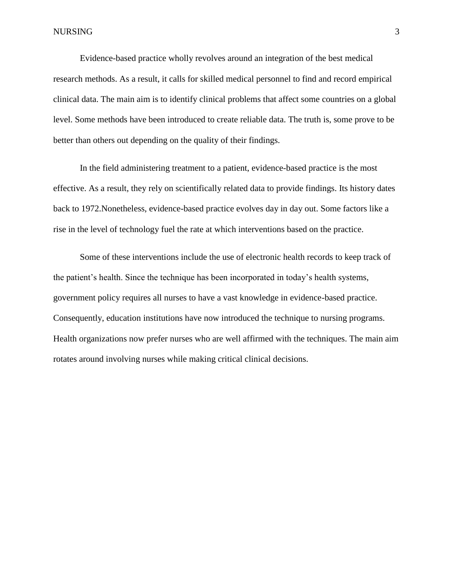Evidence-based practice wholly revolves around an integration of the best medical research methods. As a result, it calls for skilled medical personnel to find and record empirical clinical data. The main aim is to identify clinical problems that affect some countries on a global level. Some methods have been introduced to create reliable data. The truth is, some prove to be better than others out depending on the quality of their findings.

In the field administering treatment to a patient, evidence-based practice is the most effective. As a result, they rely on scientifically related data to provide findings. Its history dates back to 1972.Nonetheless, evidence-based practice evolves day in day out. Some factors like a rise in the level of technology fuel the rate at which interventions based on the practice.

Some of these interventions include the use of electronic health records to keep track of the patient's health. Since the technique has been incorporated in today's health systems, government policy requires all nurses to have a vast knowledge in evidence-based practice. Consequently, education institutions have now introduced the technique to nursing programs. Health organizations now prefer nurses who are well affirmed with the techniques. The main aim rotates around involving nurses while making critical clinical decisions.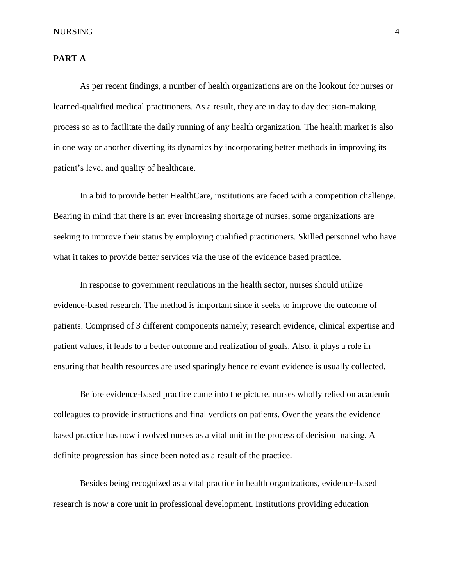#### NURSING 4

#### **PART A**

As per recent findings, a number of health organizations are on the lookout for nurses or learned-qualified medical practitioners. As a result, they are in day to day decision-making process so as to facilitate the daily running of any health organization. The health market is also in one way or another diverting its dynamics by incorporating better methods in improving its patient's level and quality of healthcare.

In a bid to provide better HealthCare, institutions are faced with a competition challenge. Bearing in mind that there is an ever increasing shortage of nurses, some organizations are seeking to improve their status by employing qualified practitioners. Skilled personnel who have what it takes to provide better services via the use of the evidence based practice.

In response to government regulations in the health sector, nurses should utilize evidence-based research. The method is important since it seeks to improve the outcome of patients. Comprised of 3 different components namely; research evidence, clinical expertise and patient values, it leads to a better outcome and realization of goals. Also, it plays a role in ensuring that health resources are used sparingly hence relevant evidence is usually collected.

Before evidence-based practice came into the picture, nurses wholly relied on academic colleagues to provide instructions and final verdicts on patients. Over the years the evidence based practice has now involved nurses as a vital unit in the process of decision making. A definite progression has since been noted as a result of the practice.

Besides being recognized as a vital practice in health organizations, evidence-based research is now a core unit in professional development. Institutions providing education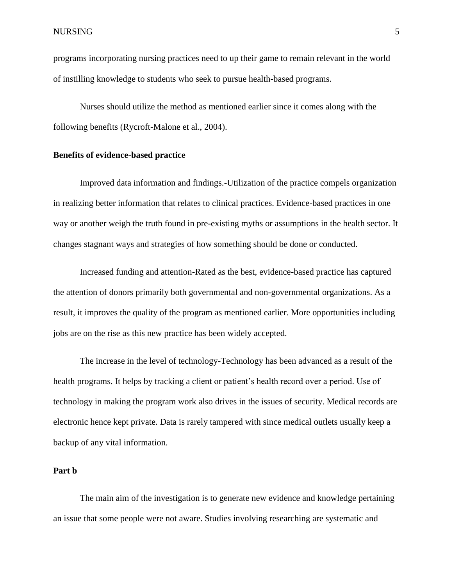programs incorporating nursing practices need to up their game to remain relevant in the world of instilling knowledge to students who seek to pursue health-based programs.

Nurses should utilize the method as mentioned earlier since it comes along with the following benefits (Rycroft-Malone et al., 2004).

#### **Benefits of evidence-based practice**

Improved data information and findings.-Utilization of the practice compels organization in realizing better information that relates to clinical practices. Evidence-based practices in one way or another weigh the truth found in pre-existing myths or assumptions in the health sector. It changes stagnant ways and strategies of how something should be done or conducted.

Increased funding and attention-Rated as the best, evidence-based practice has captured the attention of donors primarily both governmental and non-governmental organizations. As a result, it improves the quality of the program as mentioned earlier. More opportunities including jobs are on the rise as this new practice has been widely accepted.

The increase in the level of technology-Technology has been advanced as a result of the health programs. It helps by tracking a client or patient's health record over a period. Use of technology in making the program work also drives in the issues of security. Medical records are electronic hence kept private. Data is rarely tampered with since medical outlets usually keep a backup of any vital information.

# **Part b**

The main aim of the investigation is to generate new evidence and knowledge pertaining an issue that some people were not aware. Studies involving researching are systematic and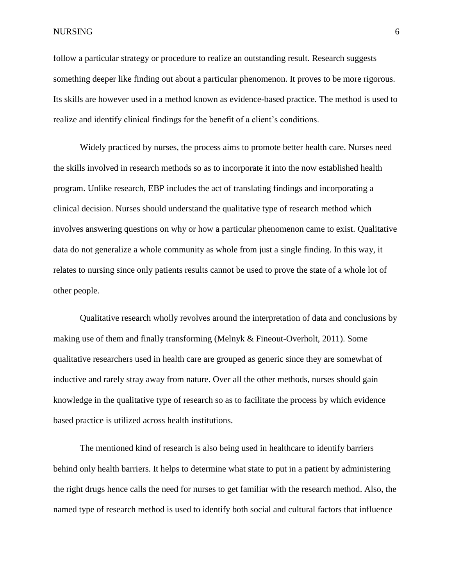NURSING 6

follow a particular strategy or procedure to realize an outstanding result. Research suggests something deeper like finding out about a particular phenomenon. It proves to be more rigorous. Its skills are however used in a method known as evidence-based practice. The method is used to realize and identify clinical findings for the benefit of a client's conditions.

Widely practiced by nurses, the process aims to promote better health care. Nurses need the skills involved in research methods so as to incorporate it into the now established health program. Unlike research, EBP includes the act of translating findings and incorporating a clinical decision. Nurses should understand the qualitative type of research method which involves answering questions on why or how a particular phenomenon came to exist. Qualitative data do not generalize a whole community as whole from just a single finding. In this way, it relates to nursing since only patients results cannot be used to prove the state of a whole lot of other people.

Qualitative research wholly revolves around the interpretation of data and conclusions by making use of them and finally transforming (Melnyk & Fineout-Overholt, 2011). Some qualitative researchers used in health care are grouped as generic since they are somewhat of inductive and rarely stray away from nature. Over all the other methods, nurses should gain knowledge in the qualitative type of research so as to facilitate the process by which evidence based practice is utilized across health institutions.

The mentioned kind of research is also being used in healthcare to identify barriers behind only health barriers. It helps to determine what state to put in a patient by administering the right drugs hence calls the need for nurses to get familiar with the research method. Also, the named type of research method is used to identify both social and cultural factors that influence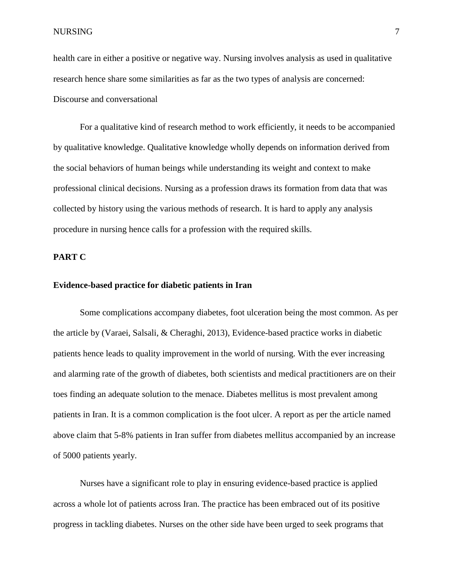health care in either a positive or negative way. Nursing involves analysis as used in qualitative research hence share some similarities as far as the two types of analysis are concerned: Discourse and conversational

For a qualitative kind of research method to work efficiently, it needs to be accompanied by qualitative knowledge. Qualitative knowledge wholly depends on information derived from the social behaviors of human beings while understanding its weight and context to make professional clinical decisions. Nursing as a profession draws its formation from data that was collected by history using the various methods of research. It is hard to apply any analysis procedure in nursing hence calls for a profession with the required skills.

# **PART C**

# **Evidence-based practice for diabetic patients in Iran**

Some complications accompany diabetes, foot ulceration being the most common. As per the article by (Varaei, Salsali, & Cheraghi, 2013), Evidence-based practice works in diabetic patients hence leads to quality improvement in the world of nursing. With the ever increasing and alarming rate of the growth of diabetes, both scientists and medical practitioners are on their toes finding an adequate solution to the menace. Diabetes mellitus is most prevalent among patients in Iran. It is a common complication is the foot ulcer. A report as per the article named above claim that 5-8% patients in Iran suffer from diabetes mellitus accompanied by an increase of 5000 patients yearly.

Nurses have a significant role to play in ensuring evidence-based practice is applied across a whole lot of patients across Iran. The practice has been embraced out of its positive progress in tackling diabetes. Nurses on the other side have been urged to seek programs that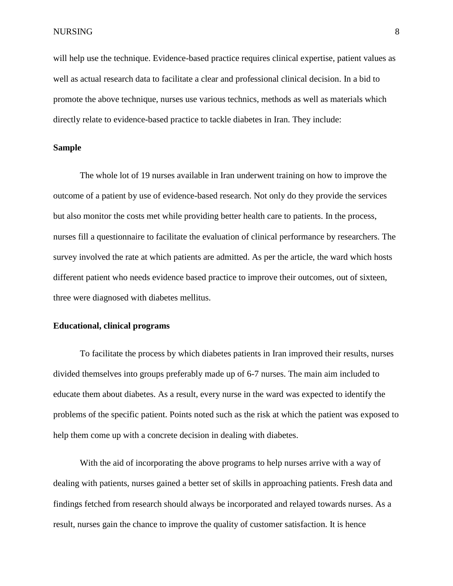will help use the technique. Evidence-based practice requires clinical expertise, patient values as well as actual research data to facilitate a clear and professional clinical decision. In a bid to promote the above technique, nurses use various technics, methods as well as materials which directly relate to evidence-based practice to tackle diabetes in Iran. They include:

# **Sample**

The whole lot of 19 nurses available in Iran underwent training on how to improve the outcome of a patient by use of evidence-based research. Not only do they provide the services but also monitor the costs met while providing better health care to patients. In the process, nurses fill a questionnaire to facilitate the evaluation of clinical performance by researchers. The survey involved the rate at which patients are admitted. As per the article, the ward which hosts different patient who needs evidence based practice to improve their outcomes, out of sixteen, three were diagnosed with diabetes mellitus.

#### **Educational, clinical programs**

To facilitate the process by which diabetes patients in Iran improved their results, nurses divided themselves into groups preferably made up of 6-7 nurses. The main aim included to educate them about diabetes. As a result, every nurse in the ward was expected to identify the problems of the specific patient. Points noted such as the risk at which the patient was exposed to help them come up with a concrete decision in dealing with diabetes.

With the aid of incorporating the above programs to help nurses arrive with a way of dealing with patients, nurses gained a better set of skills in approaching patients. Fresh data and findings fetched from research should always be incorporated and relayed towards nurses. As a result, nurses gain the chance to improve the quality of customer satisfaction. It is hence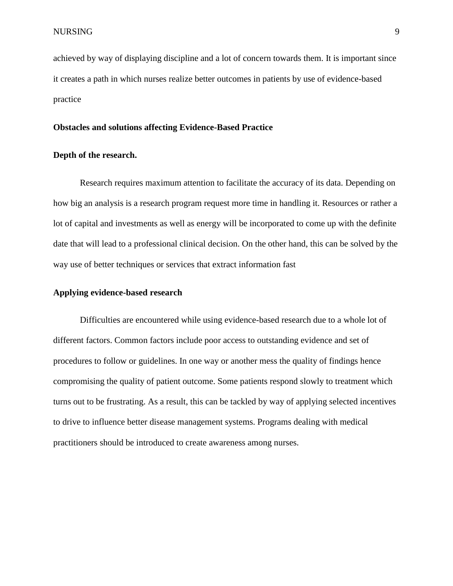achieved by way of displaying discipline and a lot of concern towards them. It is important since it creates a path in which nurses realize better outcomes in patients by use of evidence-based practice

# **Obstacles and solutions affecting Evidence-Based Practice**

# **Depth of the research.**

Research requires maximum attention to facilitate the accuracy of its data. Depending on how big an analysis is a research program request more time in handling it. Resources or rather a lot of capital and investments as well as energy will be incorporated to come up with the definite date that will lead to a professional clinical decision. On the other hand, this can be solved by the way use of better techniques or services that extract information fast

#### **Applying evidence-based research**

Difficulties are encountered while using evidence-based research due to a whole lot of different factors. Common factors include poor access to outstanding evidence and set of procedures to follow or guidelines. In one way or another mess the quality of findings hence compromising the quality of patient outcome. Some patients respond slowly to treatment which turns out to be frustrating. As a result, this can be tackled by way of applying selected incentives to drive to influence better disease management systems. Programs dealing with medical practitioners should be introduced to create awareness among nurses.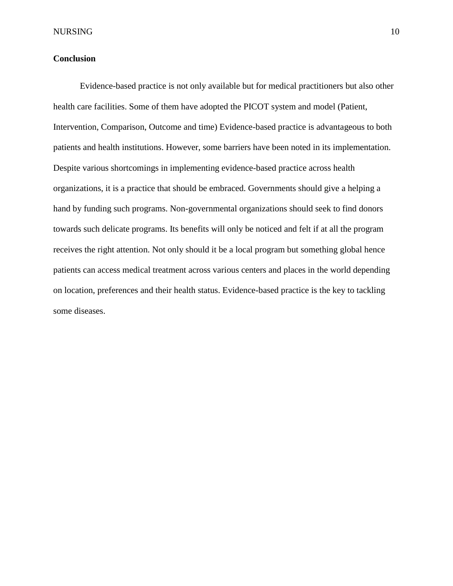# **Conclusion**

Evidence-based practice is not only available but for medical practitioners but also other health care facilities. Some of them have adopted the PICOT system and model (Patient, Intervention, Comparison, Outcome and time) Evidence-based practice is advantageous to both patients and health institutions. However, some barriers have been noted in its implementation. Despite various shortcomings in implementing evidence-based practice across health organizations, it is a practice that should be embraced. Governments should give a helping a hand by funding such programs. Non-governmental organizations should seek to find donors towards such delicate programs. Its benefits will only be noticed and felt if at all the program receives the right attention. Not only should it be a local program but something global hence patients can access medical treatment across various centers and places in the world depending on location, preferences and their health status. Evidence-based practice is the key to tackling some diseases.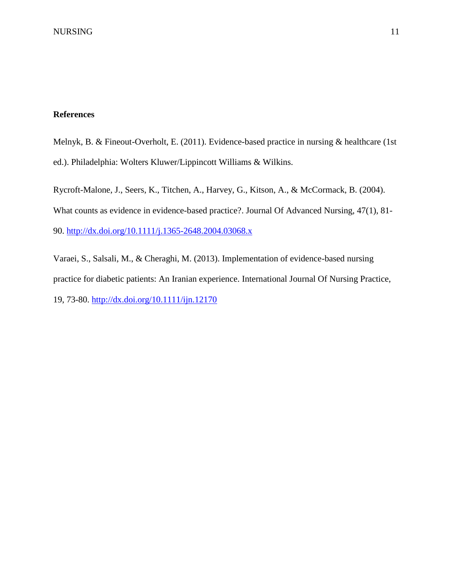# **References**

Melnyk, B. & Fineout-Overholt, E. (2011). Evidence-based practice in nursing & healthcare (1st ed.). Philadelphia: Wolters Kluwer/Lippincott Williams & Wilkins.

Rycroft-Malone, J., Seers, K., Titchen, A., Harvey, G., Kitson, A., & McCormack, B. (2004). What counts as evidence in evidence-based practice?. Journal Of Advanced Nursing, 47(1), 81- 90.<http://dx.doi.org/10.1111/j.1365-2648.2004.03068.x>

Varaei, S., Salsali, M., & Cheraghi, M. (2013). Implementation of evidence-based nursing practice for diabetic patients: An Iranian experience. International Journal Of Nursing Practice, 19, 73-80.<http://dx.doi.org/10.1111/ijn.12170>